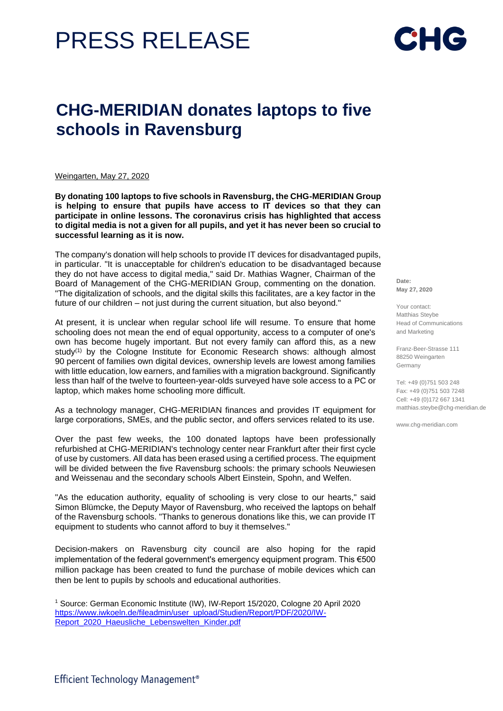## PRESS RELEASE



## **CHG-MERIDIAN donates laptops to five schools in Ravensburg**

Weingarten, May 27, 2020

**By donating 100 laptops to five schools in Ravensburg, the CHG-MERIDIAN Group is helping to ensure that pupils have access to IT devices so that they can participate in online lessons. The coronavirus crisis has highlighted that access to digital media is not a given for all pupils, and yet it has never been so crucial to successful learning as it is now.** 

The company's donation will help schools to provide IT devices for disadvantaged pupils, in particular. "It is unacceptable for children's education to be disadvantaged because they do not have access to digital media," said Dr. Mathias Wagner, Chairman of the Board of Management of the CHG-MERIDIAN Group, commenting on the donation. "The digitalization of schools, and the digital skills this facilitates, are a key factor in the future of our children – not just during the current situation, but also beyond."

At present, it is unclear when regular school life will resume. To ensure that home schooling does not mean the end of equal opportunity, access to a computer of one's own has become hugely important. But not every family can afford this, as a new study<sup>(1)</sup> by the Cologne Institute for Economic Research shows: although almost 90 percent of families own digital devices, ownership levels are lowest among families with little education, low earners, and families with a migration background. Significantly less than half of the twelve to fourteen-year-olds surveyed have sole access to a PC or laptop, which makes home schooling more difficult.

As a technology manager, CHG-MERIDIAN finances and provides IT equipment for large corporations, SMEs, and the public sector, and offers services related to its use.

Over the past few weeks, the 100 donated laptops have been professionally refurbished at CHG-MERIDIAN's technology center near Frankfurt after their first cycle of use by customers. All data has been erased using a certified process. The equipment will be divided between the five Ravensburg schools: the primary schools Neuwiesen and Weissenau and the secondary schools Albert Einstein, Spohn, and Welfen.

"As the education authority, equality of schooling is very close to our hearts," said Simon Blümcke, the Deputy Mayor of Ravensburg, who received the laptops on behalf of the Ravensburg schools. "Thanks to generous donations like this, we can provide IT equipment to students who cannot afford to buy it themselves."

Decision-makers on Ravensburg city council are also hoping for the rapid implementation of the federal government's emergency equipment program. This €500 million package has been created to fund the purchase of mobile devices which can then be lent to pupils by schools and educational authorities.

**Date: May 27, 2020**

Your contact: Matthias Steybe Head of Communications and Marketing

Franz-Beer-Strasse 111 88250 Weingarten Germany

Tel: +49 (0)751 503 248 Fax: +49 (0)751 503 7248 Cell: +49 (0)172 667 1341 matthias.steybe@chg-meridian.de

www.chg-meridian.com

<sup>1</sup> Source: German Economic Institute (IW), IW-Report 15/2020, Cologne 20 April 2020 [https://www.iwkoeln.de/fileadmin/user\\_upload/Studien/Report/PDF/2020/IW-](https://www.iwkoeln.de/fileadmin/user_upload/Studien/Report/PDF/2020/IW-Report_2020_Haeusliche_Lebenswelten_Kinder.pdf)Report 2020 Haeusliche Lebenswelten Kinder.pdf